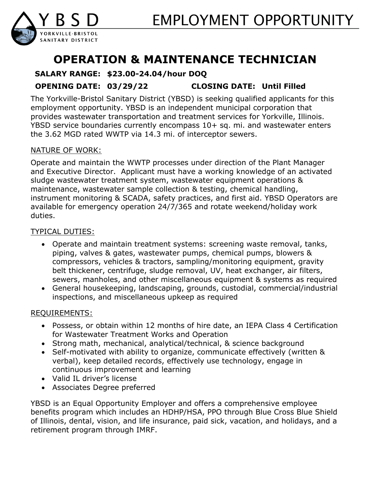

# **OPERATION & MAINTENANCE TECHNICIAN**

## **SALARY RANGE: \$23.00-24.04/hour DOQ**

**OPENING DATE: 03/29/22 CLOSING DATE: Until Filled**

The Yorkville-Bristol Sanitary District (YBSD) is seeking qualified applicants for this employment opportunity. YBSD is an independent municipal corporation that provides wastewater transportation and treatment services for Yorkville, Illinois. YBSD service boundaries currently encompass 10+ sq. mi. and wastewater enters the 3.62 MGD rated WWTP via 14.3 mi. of interceptor sewers.

#### NATURE OF WORK:

Operate and maintain the WWTP processes under direction of the Plant Manager and Executive Director. Applicant must have a working knowledge of an activated sludge wastewater treatment system, wastewater equipment operations & maintenance, wastewater sample collection & testing, chemical handling, instrument monitoring & SCADA, safety practices, and first aid. YBSD Operators are available for emergency operation 24/7/365 and rotate weekend/holiday work duties.

### TYPICAL DUTIES:

- Operate and maintain treatment systems: screening waste removal, tanks, piping, valves & gates, wastewater pumps, chemical pumps, blowers & compressors, vehicles & tractors, sampling/monitoring equipment, gravity belt thickener, centrifuge, sludge removal, UV, heat exchanger, air filters, sewers, manholes, and other miscellaneous equipment & systems as required
- General housekeeping, landscaping, grounds, custodial, commercial/industrial inspections, and miscellaneous upkeep as required

#### REQUIREMENTS:

- Possess, or obtain within 12 months of hire date, an IEPA Class 4 Certification for Wastewater Treatment Works and Operation
- Strong math, mechanical, analytical/technical, & science background
- Self-motivated with ability to organize, communicate effectively (written & verbal), keep detailed records, effectively use technology, engage in continuous improvement and learning
- Valid IL driver's license
- Associates Degree preferred

YBSD is an Equal Opportunity Employer and offers a comprehensive employee benefits program which includes an HDHP/HSA, PPO through Blue Cross Blue Shield of Illinois, dental, vision, and life insurance, paid sick, vacation, and holidays, and a retirement program through IMRF.